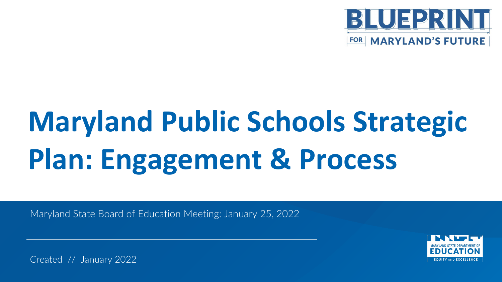

# **Maryland Public Schools Strategic Plan: Engagement & Process**

Maryland State Board of Education Meeting: January 25, 2022



Created // January 2022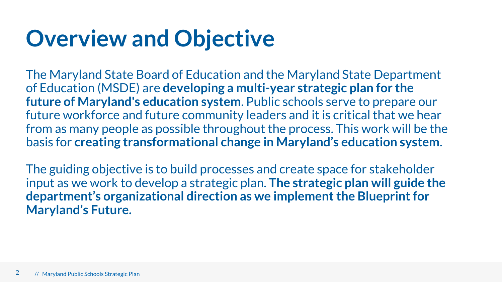#### **Overview and Objective**

The Maryland State Board of Education and the Maryland State Department of Education (MSDE) are **developing a multi-year strategic plan for the future of Maryland's education system**. Public schools serve to prepare our future workforce and future community leaders and it is critical that we hear from as many people as possible throughout the process. This work will be the basis for **creating transformational change in Maryland's education system**.

The guiding objective is to build processes and create space for stakeholder input as we work to develop a strategic plan. **The strategic plan will guide the department's organizational direction as we implement the Blueprint for Maryland's Future.**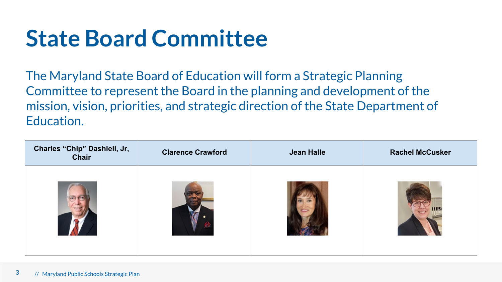#### **State Board Committee**

The Maryland State Board of Education will form a Strategic Planning Committee to represent the Board in the planning and development of the mission, vision, priorities, and strategic direction of the State Department of Education.

| Charles "Chip" Dashiell, Jr,<br><b>Chair</b> | <b>Clarence Crawford</b> | <b>Jean Halle</b> | <b>Rachel McCusker</b> |
|----------------------------------------------|--------------------------|-------------------|------------------------|
|                                              |                          |                   |                        |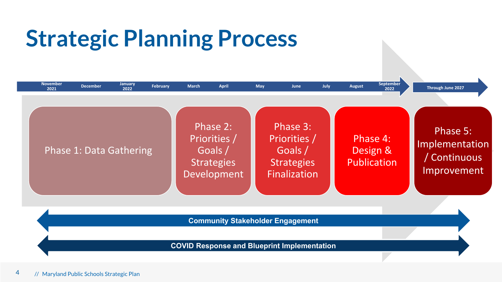### **Strategic Planning Process**

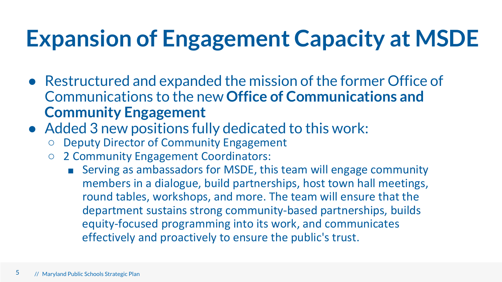### **Expansion of Engagement Capacity at MSDE**

- Restructured and expanded the mission of the former Office of Communications to the new **Office of Communications and Community Engagement**
- Added 3 new positions fully dedicated to this work:
	- Deputy Director of Community Engagement
	- 2 Community Engagement Coordinators:
		- Serving as ambassadors for MSDE, this team will engage community members in a dialogue, build partnerships, host town hall meetings, round tables, workshops, and more. The team will ensure that the department sustains strong community-based partnerships, builds equity-focused programming into its work, and communicates effectively and proactively to ensure the public's trust.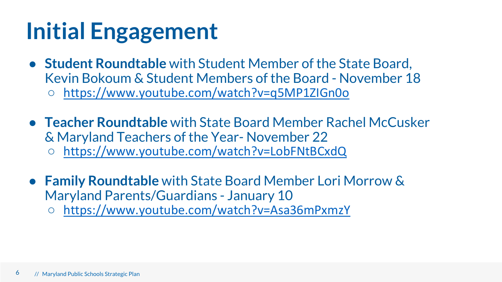#### **Initial Engagement**

- **Student Roundtable** with Student Member of the State Board, Kevin Bokoum & Student Members of the Board - November 18 ○ <https://www.youtube.com/watch?v=q5MP1ZIGn0o>
- **Teacher Roundtable** with State Board Member Rachel McCusker & Maryland Teachers of the Year- November 22 ○ <https://www.youtube.com/watch?v=LobFNtBCxdQ>
- **Family Roundtable** with State Board Member Lori Morrow & Maryland Parents/Guardians - January 10
	- <https://www.youtube.com/watch?v=Asa36mPxmzY>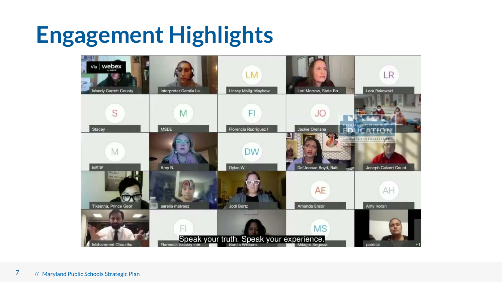#### **Engagement Highlights**

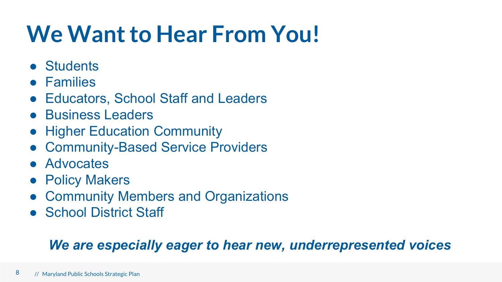#### **We Want to Hear From You!**

- Students
- Families
- Educators, School Staff and Leaders
- Business Leaders
- Higher Education Community
- Community-Based Service Providers
- Advocates
- Policy Makers
- Community Members and Organizations
- School District Staff

#### *We are especially eager to hear new, underrepresented voices*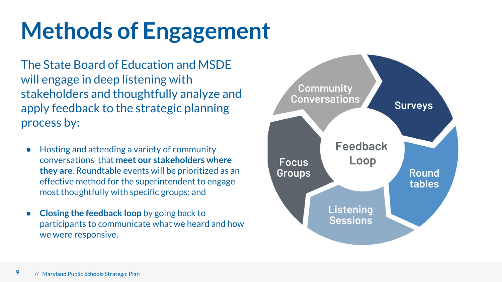## **Methods of Engagement**

The State Board of Education and MSDE will engage in deep listening with stakeholders and thoughtfully analyze and apply feedback to the strategic planning process by:

- Hosting and attending a variety of community conversations that **meet our stakeholders where they are**. Roundtable events will be prioritized as an effective method for the superintendent to engage most thoughtfully with specific groups; and
- **Closing the feedback loop** by going back to participants to communicate what we heard and how we were responsive.